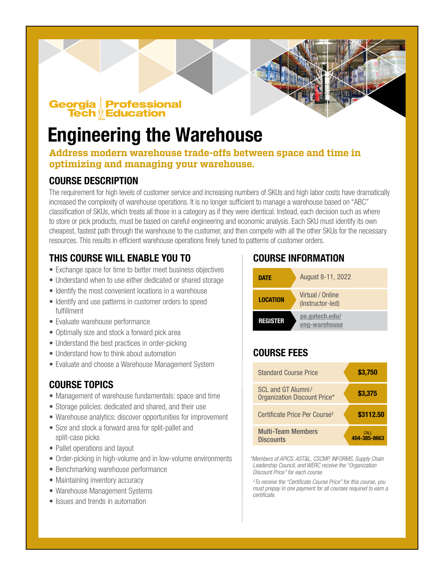# Georgia Professional<br>Tech || Education

## Engineering the Warehouse

### **Address modern warehouse trade-offs between space and time in optimizing and managing your warehouse.**

## COURSE DESCRIPTION

The requirement for high levels of customer service and increasing numbers of SKUs and high labor costs have dramatically increased the complexity of warehouse operations. It is no longer sufficient to manage a warehouse based on "ABC" classification of SKUs, which treats all those in a category as if they were identical. Instead, each decision such as where to store or pick products, must be based on careful engineering and economic analysis. Each SKU must identify its own cheapest, fastest path through the warehouse to the customer, and then compete with all the other SKUs for the necessary resources. This results in efficient warehouse operations finely tuned to patterns of customer orders.

## THIS COURSE WILL ENABLE YOU TO

- Exchange space for time to better meet business objectives
- Understand when to use either dedicated or shared storage
- Identify the most convenient locations in a warehouse
- Identify and use patterns in customer orders to speed fulfillment
- Evaluate warehouse performance
- Optimally size and stock a forward pick area
- Understand the best practices in order-picking
- Understand how to think about automation
- Evaluate and choose a Warehouse Management System

## COURSE TOPICS

- Management of warehouse fundamentals: space and time
- Storage policies: dedicated and shared, and their use
- Warehouse analytics: discover opportunities for improvement
- Size and stock a forward area for split-pallet and split-case picks
- Pallet operations and layout
- Order-picking in high-volume and in low-volume environments
- Benchmarking warehouse performance
- Maintaining inventory accuracy
- Warehouse Management Systems
- Issues and trends in automation

## COURSE INFORMATION



## COURSE FEES

| <b>Standard Course Price</b>                              | \$3,750              |
|-----------------------------------------------------------|----------------------|
| SCL and GT Alumni/<br><b>Organization Discount Price*</b> | \$3,375              |
| Certificate Price Per Course <sup>#</sup>                 | \$3112.50            |
| <b>Multi-Team Members</b><br>Discounts                    | CALL<br>404-385-8663 |

*\*Members of APICS, AST&L, CSCMP, INFORMS, Supply Chain Leadership Council, and WERC receive the "Organization Discount Price" for each course.*

*‡ To receive the "Certificate Course Price" for this course, you must prepay in one payment for all courses required to earn a certificate.*